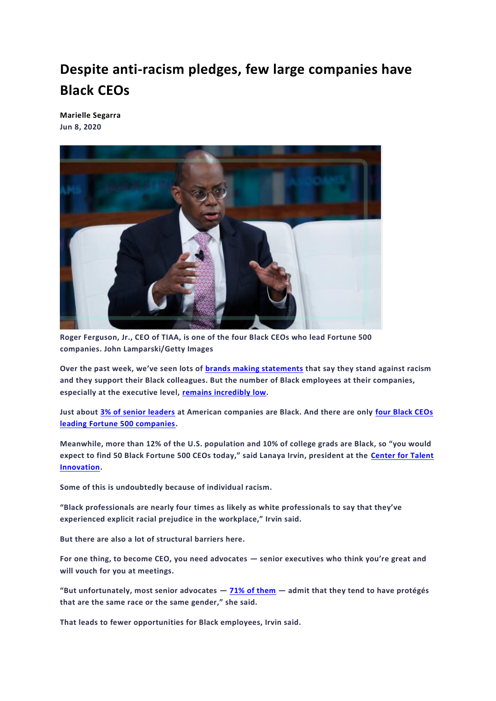## **Despite anti-racism pledges, few large companies have Black CEOs**

**[Marielle Segarra](https://www.marketplace.org/author/marielle-segarra/) Jun 8, 2020**



**Roger Ferguson, Jr., CEO of TIAA, is one of the four Black CEOs who lead Fortune 500 companies. John Lamparski/Getty Images**

**Over the past week, we've seen lots of [brands making statements](https://www.marketplace.org/2020/06/02/marketers-are-embracing-black-lives-matter/) that say they stand against racism and they support their Black colleagues. But the number of Black employees at their companies, especially at the executive level, [remains incredibly low.](https://www.marketplace.org/2020/06/04/employees-look-at-their-companies-actions-not-just-statements/)**

**Just about [3% of senior leaders](https://www.talentinnovation.org/_private/assets/BeingBlack_PressRelease.pdf) at American companies are Black. And there are only [four Black CEOs](https://www.businessinsider.com/black-ceos-fortune-500-companies-responses-to-george-floyd-death-2020-6)  [leading Fortune 500 companies.](https://www.businessinsider.com/black-ceos-fortune-500-companies-responses-to-george-floyd-death-2020-6)**

**Meanwhile, more than 12% of the U.S. population and 10% of college grads are Black, so "you would expect to find 50 Black Fortune 500 CEOs today," said Lanaya Irvin, president at the [Center for Talent](https://www.talentinnovation.org/)  [Innovation.](https://www.talentinnovation.org/)** 

**Some of this is undoubtedly because of individual racism.**

**"Black professionals are nearly four times as likely as white professionals to say that they've experienced explicit racial prejudice in the workplace," Irvin said.**

**But there are also a lot of structural barriers here.**

**For one thing, to become CEO, you need advocates — senior executives who think you're great and will vouch for you at meetings.**

**"But unfortunately, most senior advocates — [71% of them](https://www.prnewswire.com/news-releases/senior-leaders-are-misunderstanding-the-role-of-sponsorshipand-missing-out-on-its-rewards-according-to-new-research-by-the-center-for-talent-innovation-300774196.html) — admit that they tend to have protégés that are the same race or the same gender," she said.**

**That leads to fewer opportunities for Black employees, Irvin said.**